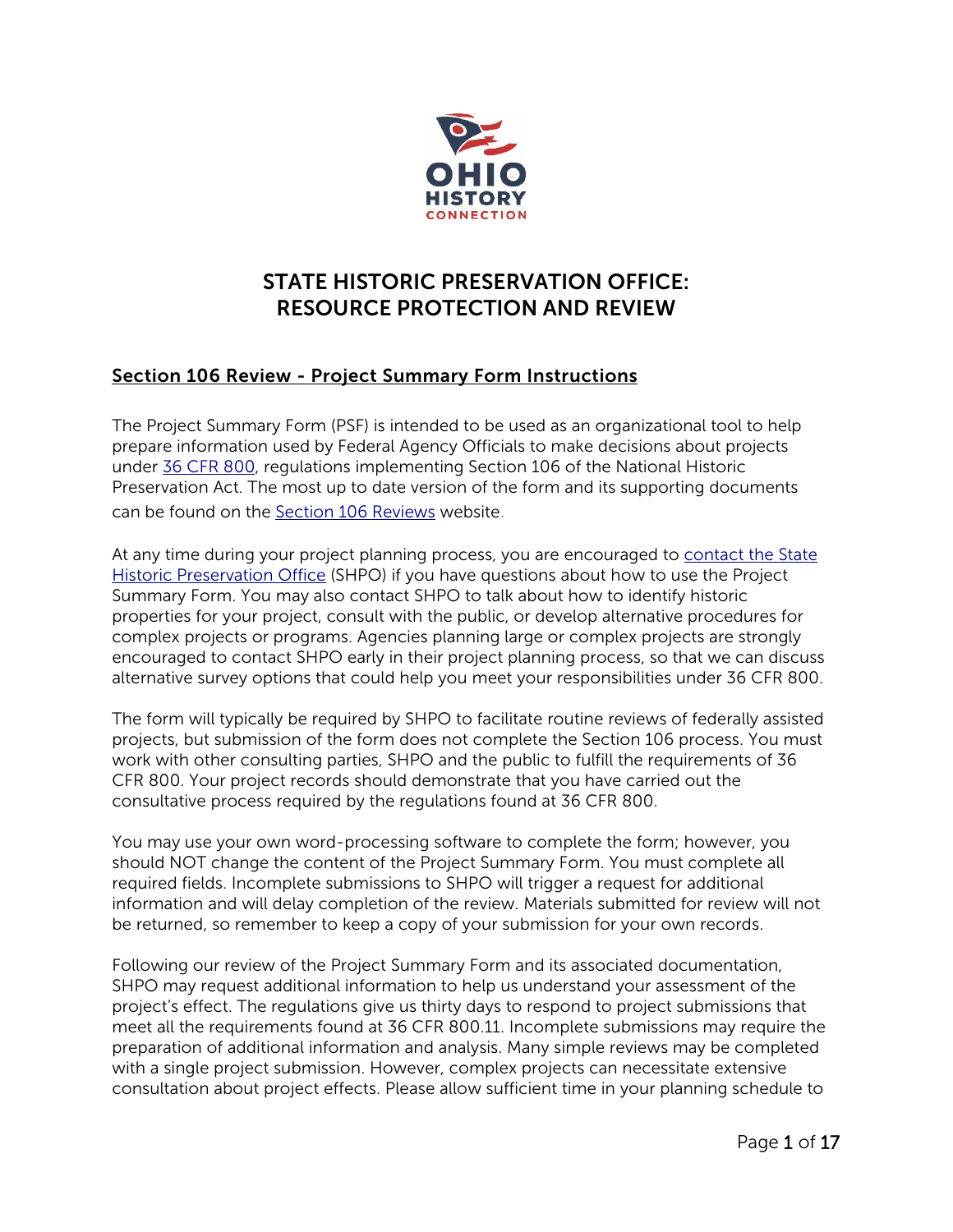

# STATE HISTORIC PRESERVATION OFFICE: RESOURCE PROTECTION AND REVIEW

## Section 106 Review - Project Summary Form Instructions

The Project Summary Form (PSF) is intended to be used as an organizational tool to help prepare information used by Federal Agency Officials to make decisions about projects under [36 CFR 800,](https://www.achp.gov/sites/default/files/regulations/2017-02/regs-rev04.pdf) regulations implementing Section 106 of the National Historic Preservation Act. The most up to date version of the form and its supporting documents can be found on the [Section 106 Reviews](https://www.ohiohistory.org/preserving-ohio/federal-state-reviews/) website.

At any time during your project planning process, you are encouraged to contact the State [Historic Preservation Office](mailto:Section106@ohiohistory.org?subject=Project%20Summary%20Form%20Questions) (SHPO) if you have questions about how to use the Project Summary Form. You may also contact SHPO to talk about how to identify historic properties for your project, consult with the public, or develop alternative procedures for complex projects or programs. Agencies planning large or complex projects are strongly encouraged to contact SHPO early in their project planning process, so that we can discuss alternative survey options that could help you meet your responsibilities under 36 CFR 800.

The form will typically be required by SHPO to facilitate routine reviews of federally assisted projects, but submission of the form does not complete the Section 106 process. You must work with other consulting parties, SHPO and the public to fulfill the requirements of 36 CFR 800. Your project records should demonstrate that you have carried out the consultative process required by the regulations found at 36 CFR 800.

You may use your own word-processing software to complete the form; however, you should NOT change the content of the Project Summary Form. You must complete all required fields. Incomplete submissions to SHPO will trigger a request for additional information and will delay completion of the review. Materials submitted for review will not be returned, so remember to keep a copy of your submission for your own records.

Following our review of the Project Summary Form and its associated documentation, SHPO may request additional information to help us understand your assessment of the project's effect. The regulations give us thirty days to respond to project submissions that meet all the requirements found at 36 CFR 800.11. Incomplete submissions may require the preparation of additional information and analysis. Many simple reviews may be completed with a single project submission. However, complex projects can necessitate extensive consultation about project effects. Please allow sufficient time in your planning schedule to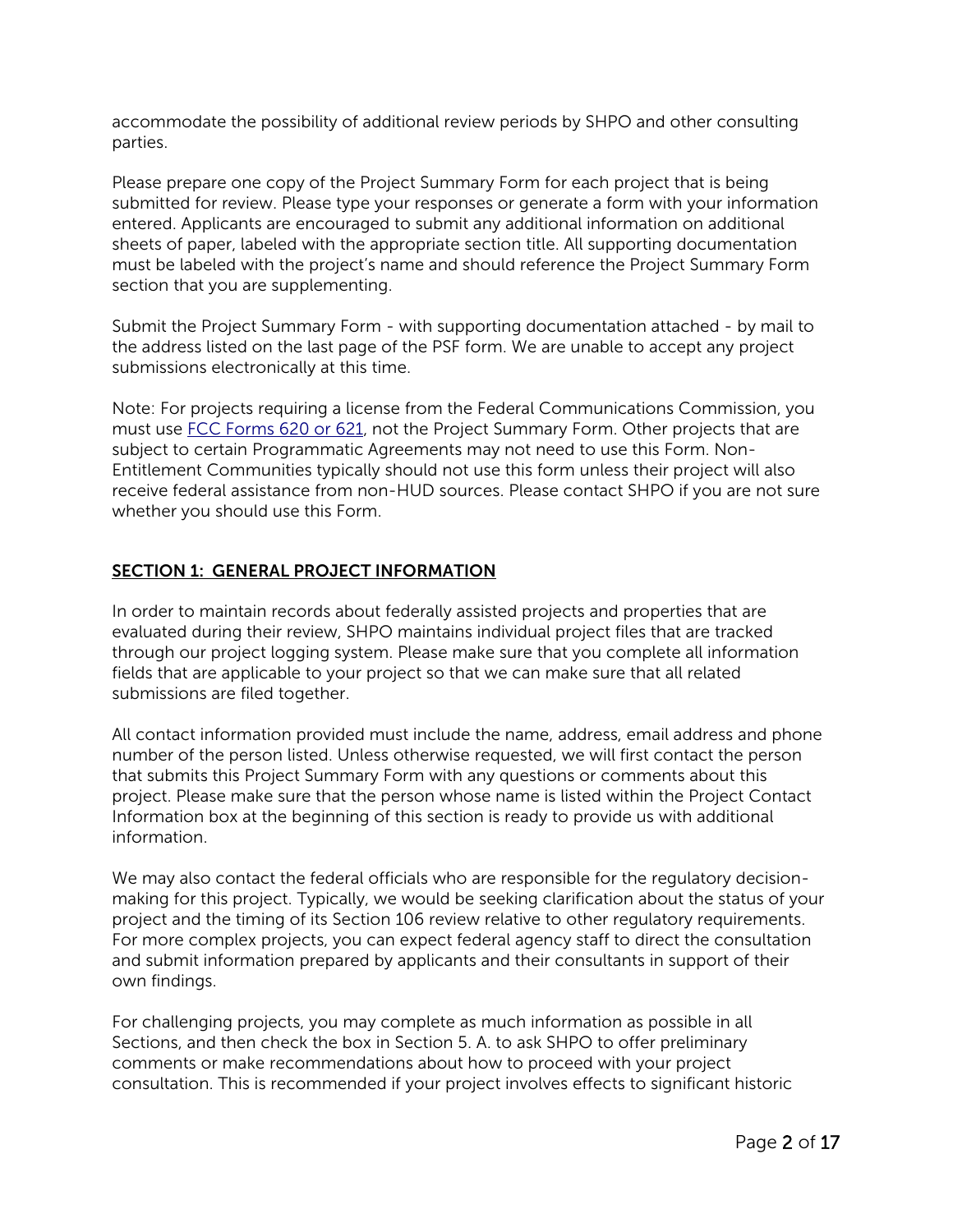accommodate the possibility of additional review periods by SHPO and other consulting parties.

Please prepare one copy of the Project Summary Form for each project that is being submitted for review. Please type your responses or generate a form with your information entered. Applicants are encouraged to submit any additional information on additional sheets of paper, labeled with the appropriate section title. All supporting documentation must be labeled with the project's name and should reference the Project Summary Form section that you are supplementing.

Submit the Project Summary Form - with supporting documentation attached - by mail to the address listed on the last page of the PSF form. We are unable to accept any project submissions electronically at this time.

Note: For projects requiring a license from the Federal Communications Commission, you must use [FCC Forms 620 or 621,](https://wireless.fcc.gov/siting/npa/forms.html) not the Project Summary Form. Other projects that are subject to certain Programmatic Agreements may not need to use this Form. Non-Entitlement Communities typically should not use this form unless their project will also receive federal assistance from non-HUD sources. Please contact SHPO if you are not sure whether you should use this Form.

## SECTION 1: GENERAL PROJECT INFORMATION

In order to maintain records about federally assisted projects and properties that are evaluated during their review, SHPO maintains individual project files that are tracked through our project logging system. Please make sure that you complete all information fields that are applicable to your project so that we can make sure that all related submissions are filed together.

All contact information provided must include the name, address, email address and phone number of the person listed. Unless otherwise requested, we will first contact the person that submits this Project Summary Form with any questions or comments about this project. Please make sure that the person whose name is listed within the Project Contact Information box at the beginning of this section is ready to provide us with additional information.

We may also contact the federal officials who are responsible for the regulatory decisionmaking for this project. Typically, we would be seeking clarification about the status of your project and the timing of its Section 106 review relative to other regulatory requirements. For more complex projects, you can expect federal agency staff to direct the consultation and submit information prepared by applicants and their consultants in support of their own findings.

For challenging projects, you may complete as much information as possible in all Sections, and then check the box in Section 5. A. to ask SHPO to offer preliminary comments or make recommendations about how to proceed with your project consultation. This is recommended if your project involves effects to significant historic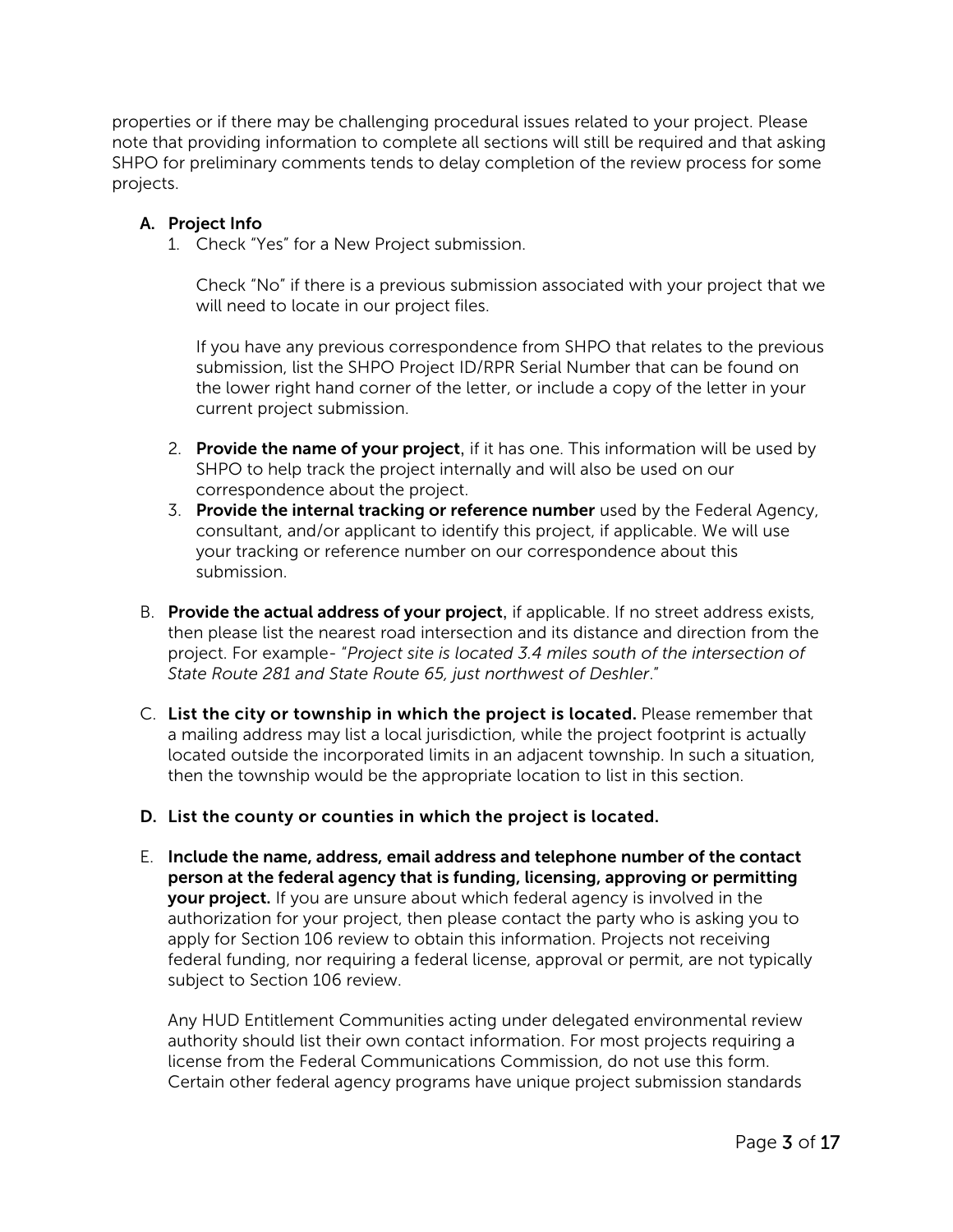properties or if there may be challenging procedural issues related to your project. Please note that providing information to complete all sections will still be required and that asking SHPO for preliminary comments tends to delay completion of the review process for some projects.

#### A. Project Info

1. Check "Yes" for a New Project submission.

Check "No" if there is a previous submission associated with your project that we will need to locate in our project files.

If you have any previous correspondence from SHPO that relates to the previous submission, list the SHPO Project ID/RPR Serial Number that can be found on the lower right hand corner of the letter, or include a copy of the letter in your current project submission.

- 2. Provide the name of your project, if it has one. This information will be used by SHPO to help track the project internally and will also be used on our correspondence about the project.
- 3. Provide the internal tracking or reference number used by the Federal Agency, consultant, and/or applicant to identify this project, if applicable. We will use your tracking or reference number on our correspondence about this submission.
- B. Provide the actual address of your project, if applicable. If no street address exists, then please list the nearest road intersection and its distance and direction from the project. For example- "*Project site is located 3.4 miles south of the intersection of State Route 281 and State Route 65, just northwest of Deshler*."
- C. List the city or township in which the project is located. Please remember that a mailing address may list a local jurisdiction, while the project footprint is actually located outside the incorporated limits in an adjacent township. In such a situation, then the township would be the appropriate location to list in this section.
- D. List the county or counties in which the project is located.
- E. Include the name, address, email address and telephone number of the contact person at the federal agency that is funding, licensing, approving or permitting **your project.** If you are unsure about which federal agency is involved in the authorization for your project, then please contact the party who is asking you to apply for Section 106 review to obtain this information. Projects not receiving federal funding, nor requiring a federal license, approval or permit, are not typically subject to Section 106 review.

Any HUD Entitlement Communities acting under delegated environmental review authority should list their own contact information. For most projects requiring a license from the Federal Communications Commission, do not use this form. Certain other federal agency programs have unique project submission standards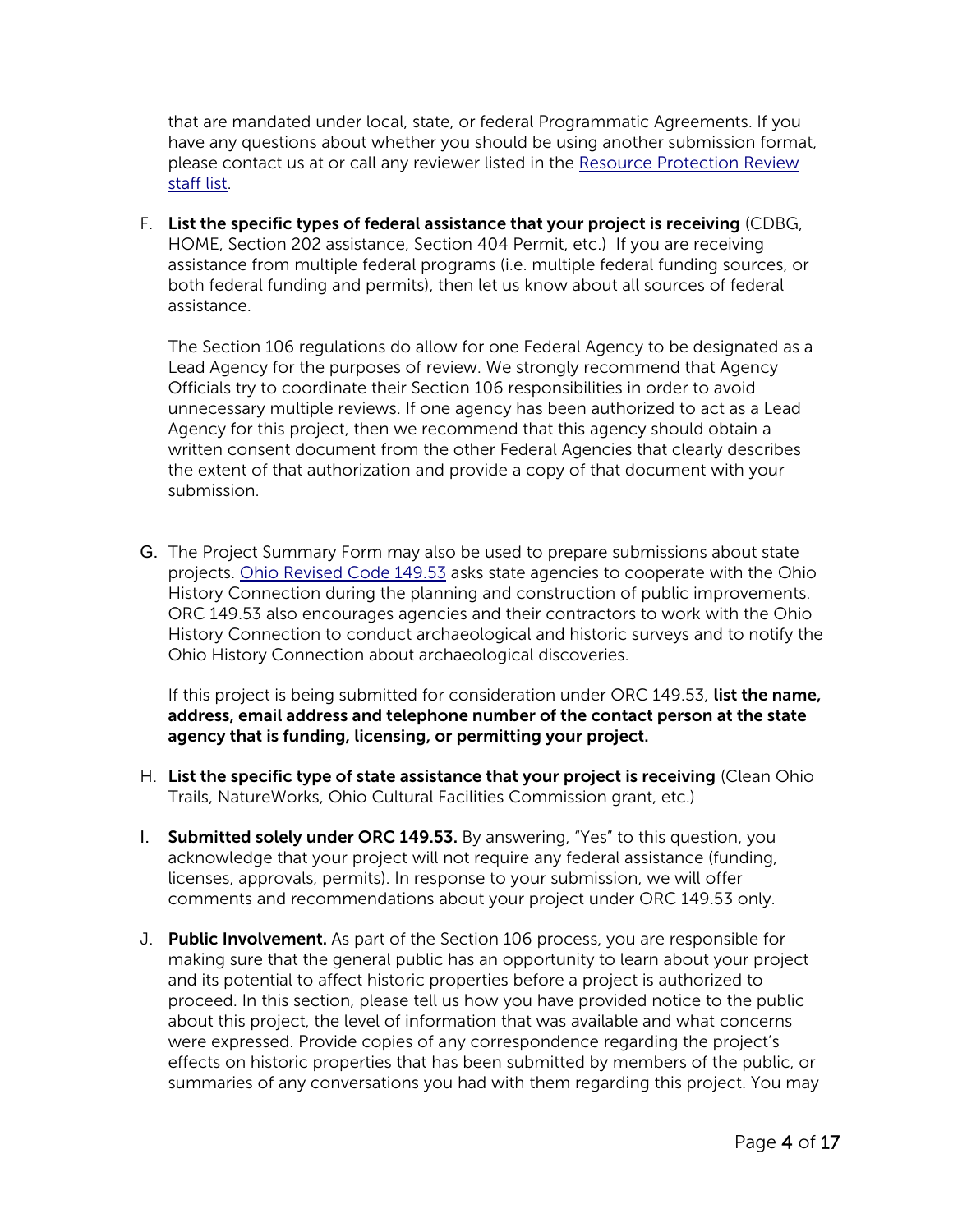that are mandated under local, state, or federal Programmatic Agreements. If you have any questions about whether you should be using another submission format, please contact us at or call any reviewer listed in the [Resource Protection Review](https://www.ohiohistory.org/wp-content/uploads/2022/03/SHPO_RPR_Staff_List.pdf)  [staff list.](https://www.ohiohistory.org/wp-content/uploads/2022/03/SHPO_RPR_Staff_List.pdf)

F. List the specific types of federal assistance that your project is receiving (CDBG, HOME, Section 202 assistance, Section 404 Permit, etc.) If you are receiving assistance from multiple federal programs (i.e. multiple federal funding sources, or both federal funding and permits), then let us know about all sources of federal assistance.

The Section 106 regulations do allow for one Federal Agency to be designated as a Lead Agency for the purposes of review. We strongly recommend that Agency Officials try to coordinate their Section 106 responsibilities in order to avoid unnecessary multiple reviews. If one agency has been authorized to act as a Lead Agency for this project, then we recommend that this agency should obtain a written consent document from the other Federal Agencies that clearly describes the extent of that authorization and provide a copy of that document with your submission.

G. The Project Summary Form may also be used to prepare submissions about state projects. [Ohio Revised Code 149.53](https://codes.ohio.gov/ohio-revised-code/section-149.53/8-24-1976) asks state agencies to cooperate with the Ohio History Connection during the planning and construction of public improvements. ORC 149.53 also encourages agencies and their contractors to work with the Ohio History Connection to conduct archaeological and historic surveys and to notify the Ohio History Connection about archaeological discoveries.

If this project is being submitted for consideration under ORC 149.53, list the name, address, email address and telephone number of the contact person at the state agency that is funding, licensing, or permitting your project.

- H. List the specific type of state assistance that your project is receiving (Clean Ohio Trails, NatureWorks, Ohio Cultural Facilities Commission grant, etc.)
- I. Submitted solely under ORC 149.53. By answering, "Yes" to this question, you acknowledge that your project will not require any federal assistance (funding, licenses, approvals, permits). In response to your submission, we will offer comments and recommendations about your project under ORC 149.53 only.
- J. Public Involvement. As part of the Section 106 process, you are responsible for making sure that the general public has an opportunity to learn about your project and its potential to affect historic properties before a project is authorized to proceed. In this section, please tell us how you have provided notice to the public about this project, the level of information that was available and what concerns were expressed. Provide copies of any correspondence regarding the project's effects on historic properties that has been submitted by members of the public, or summaries of any conversations you had with them regarding this project. You may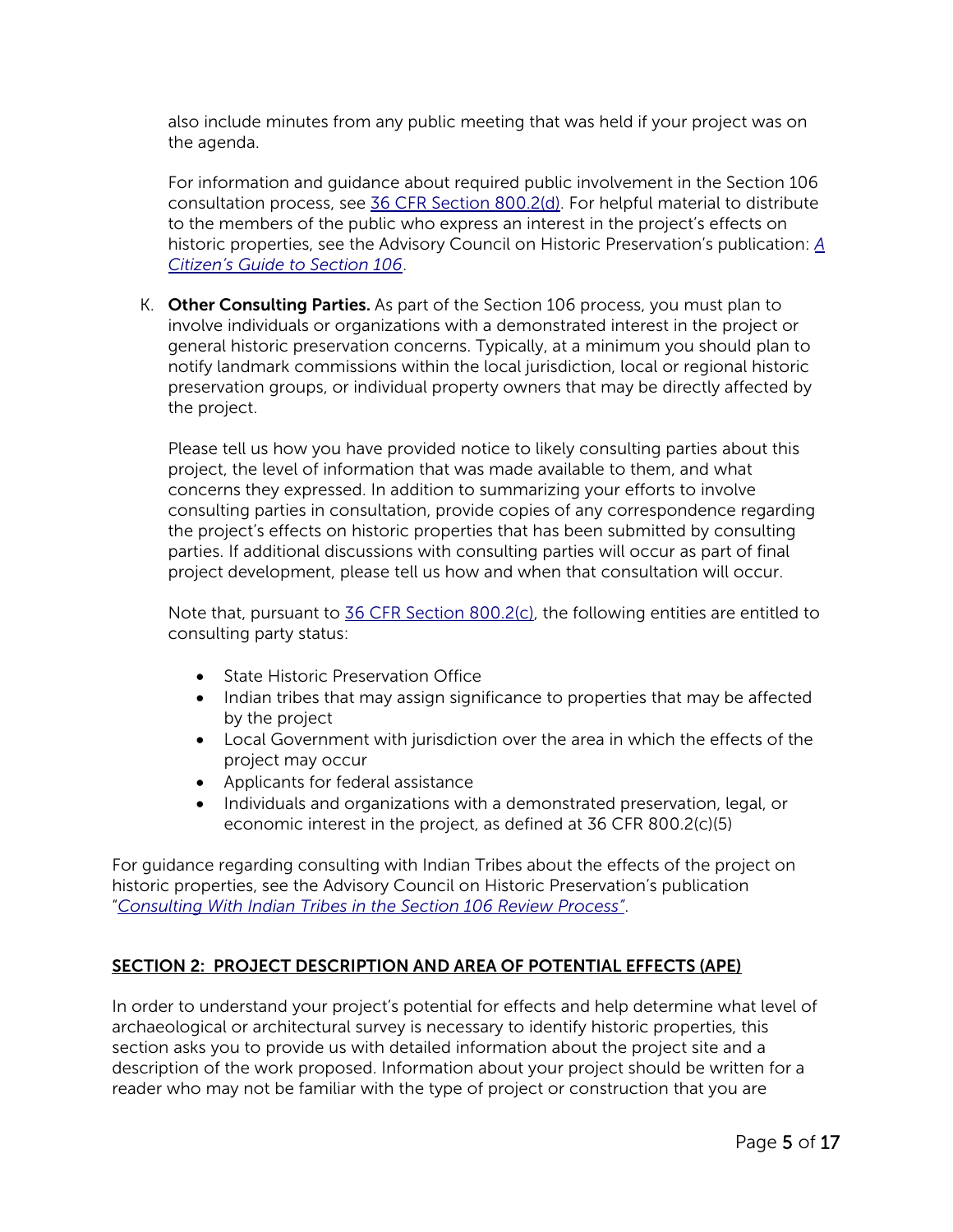also include minutes from any public meeting that was held if your project was on the agenda.

For information and guidance about required public involvement in the Section 106 consultation process, see [36 CFR Section 800.2\(d\).](https://www.law.cornell.edu/cfr/text/36/800.2) For helpful material to distribute to the members of the public who express an interest in the project's effects on historic properties, see the Advisory Council on Historic Preservation's publication: *[A](https://www.achp.gov/digital-library-section-106-landing/citizens-guide-section-106-review)  [Citizen's Guide to Section 106](https://www.achp.gov/digital-library-section-106-landing/citizens-guide-section-106-review)*.

K. Other Consulting Parties. As part of the Section 106 process, you must plan to involve individuals or organizations with a demonstrated interest in the project or general historic preservation concerns. Typically, at a minimum you should plan to notify landmark commissions within the local jurisdiction, local or regional historic preservation groups, or individual property owners that may be directly affected by the project.

Please tell us how you have provided notice to likely consulting parties about this project, the level of information that was made available to them, and what concerns they expressed. In addition to summarizing your efforts to involve consulting parties in consultation, provide copies of any correspondence regarding the project's effects on historic properties that has been submitted by consulting parties. If additional discussions with consulting parties will occur as part of final project development, please tell us how and when that consultation will occur.

Note that, pursuant to [36 CFR Section 800.2\(c\),](https://www.law.cornell.edu/cfr/text/36/800.2) the following entities are entitled to consulting party status:

- State Historic Preservation Office
- Indian tribes that may assign significance to properties that may be affected by the project
- Local Government with jurisdiction over the area in which the effects of the project may occur
- Applicants for federal assistance
- Individuals and organizations with a demonstrated preservation, legal, or economic interest in the project, as defined at 36 CFR 800.2(c)(5)

For guidance regarding consulting with Indian Tribes about the effects of the project on historic properties, see the Advisory Council on Historic Preservation's publication "*[Consulting With Indian Tribes in the Section 106 Review Process"](https://www.fcc.gov/file/14538/download#:%7E:text=The%20agency%20official%20shall%20ensure,and%20federally%20recognized%20Indian%20tribes.)*.

## SECTION 2: PROJECT DESCRIPTION AND AREA OF POTENTIAL EFFECTS (APE)

In order to understand your project's potential for effects and help determine what level of archaeological or architectural survey is necessary to identify historic properties, this section asks you to provide us with detailed information about the project site and a description of the work proposed. Information about your project should be written for a reader who may not be familiar with the type of project or construction that you are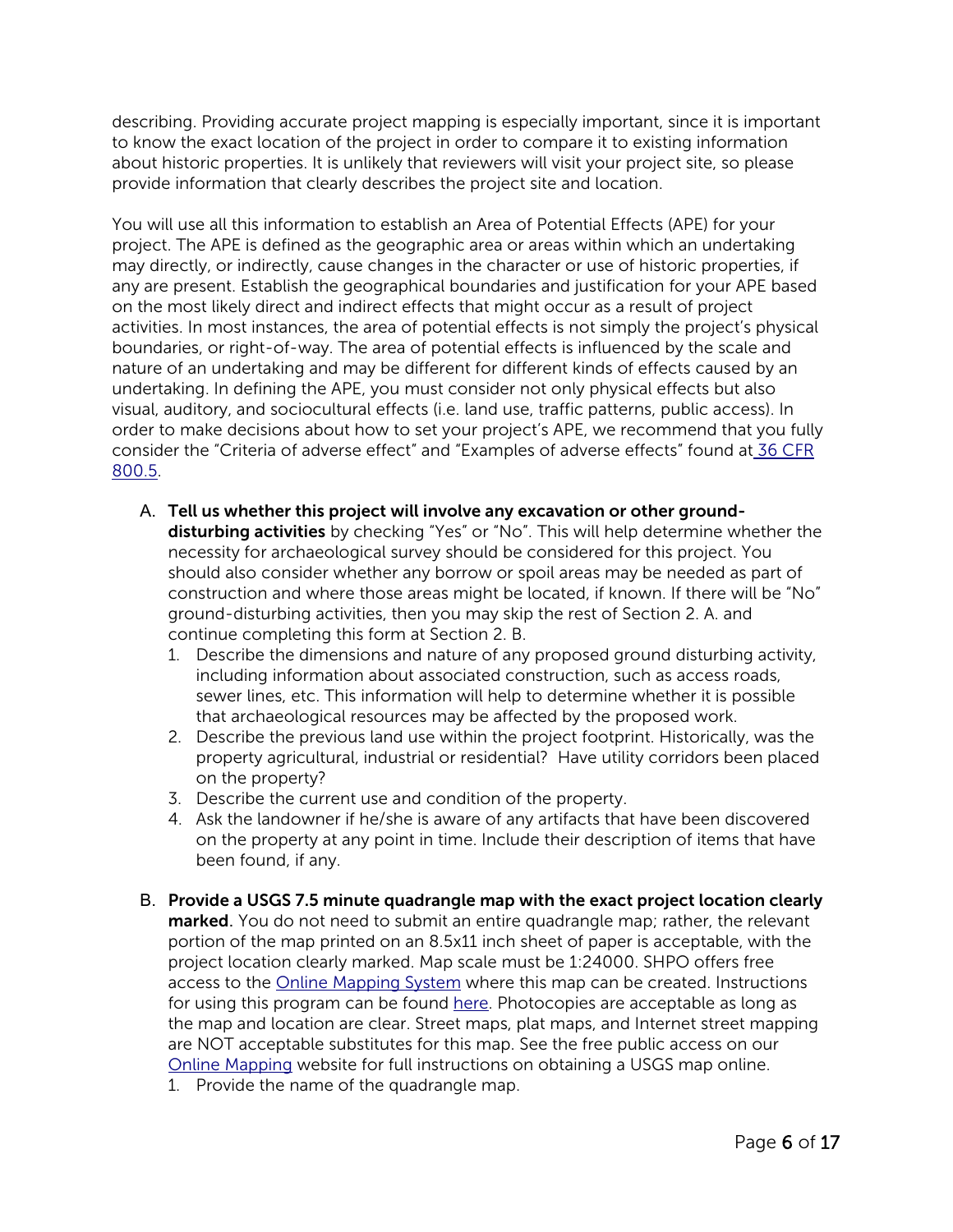describing. Providing accurate project mapping is especially important, since it is important to know the exact location of the project in order to compare it to existing information about historic properties. It is unlikely that reviewers will visit your project site, so please provide information that clearly describes the project site and location.

You will use all this information to establish an Area of Potential Effects (APE) for your project. The APE is defined as the geographic area or areas within which an undertaking may directly, or indirectly, cause changes in the character or use of historic properties, if any are present. Establish the geographical boundaries and justification for your APE based on the most likely direct and indirect effects that might occur as a result of project activities. In most instances, the area of potential effects is not simply the project's physical boundaries, or right-of-way. The area of potential effects is influenced by the scale and nature of an undertaking and may be different for different kinds of effects caused by an undertaking. In defining the APE, you must consider not only physical effects but also visual, auditory, and sociocultural effects (i.e. land use, traffic patterns, public access). In order to make decisions about how to set your project's APE, we recommend that you fully consider the "Criteria of adverse effect" and "Examples of adverse effects" found at [36 CFR](https://www.law.cornell.edu/cfr/text/36/800.5)  [800.5.](https://www.law.cornell.edu/cfr/text/36/800.5)

- A. Tell us whether this project will involve any excavation or other grounddisturbing activities by checking "Yes" or "No". This will help determine whether the necessity for archaeological survey should be considered for this project. You should also consider whether any borrow or spoil areas may be needed as part of construction and where those areas might be located, if known. If there will be "No" ground-disturbing activities, then you may skip the rest of Section 2. A. and continue completing this form at Section 2. B.
	- 1. Describe the dimensions and nature of any proposed ground disturbing activity, including information about associated construction, such as access roads, sewer lines, etc. This information will help to determine whether it is possible that archaeological resources may be affected by the proposed work.
	- 2. Describe the previous land use within the project footprint. Historically, was the property agricultural, industrial or residential? Have utility corridors been placed on the property?
	- 3. Describe the current use and condition of the property.
	- 4. Ask the landowner if he/she is aware of any artifacts that have been discovered on the property at any point in time. Include their description of items that have been found, if any.
- B. Provide a USGS 7.5 minute quadrangle map with the exact project location clearly **marked**. You do not need to submit an entire quadrangle map; rather, the relevant portion of the map printed on an 8.5x11 inch sheet of paper is acceptable, with the project location clearly marked. Map scale must be 1:24000. SHPO offers free access to the [Online Mapping System](https://www.ohiohistory.org/preserving-ohio/state-historic-preservation-office/online-mapping-system/) where this map can be created. Instructions for using this program can be found [here.](https://www.ohiohistory.org/wp-content/uploads/2022/03/OSHPO-Online-Mapping-System-Help-File.pdf) Photocopies are acceptable as long as the map and location are clear. Street maps, plat maps, and Internet street mapping are NOT acceptable substitutes for this map. See the free public access on our [Online Mapping](https://www.ohiohistory.org/preserving-ohio/state-historic-preservation-office/online-mapping-system/) website for full instructions on obtaining a USGS map online.
	- 1. Provide the name of the quadrangle map.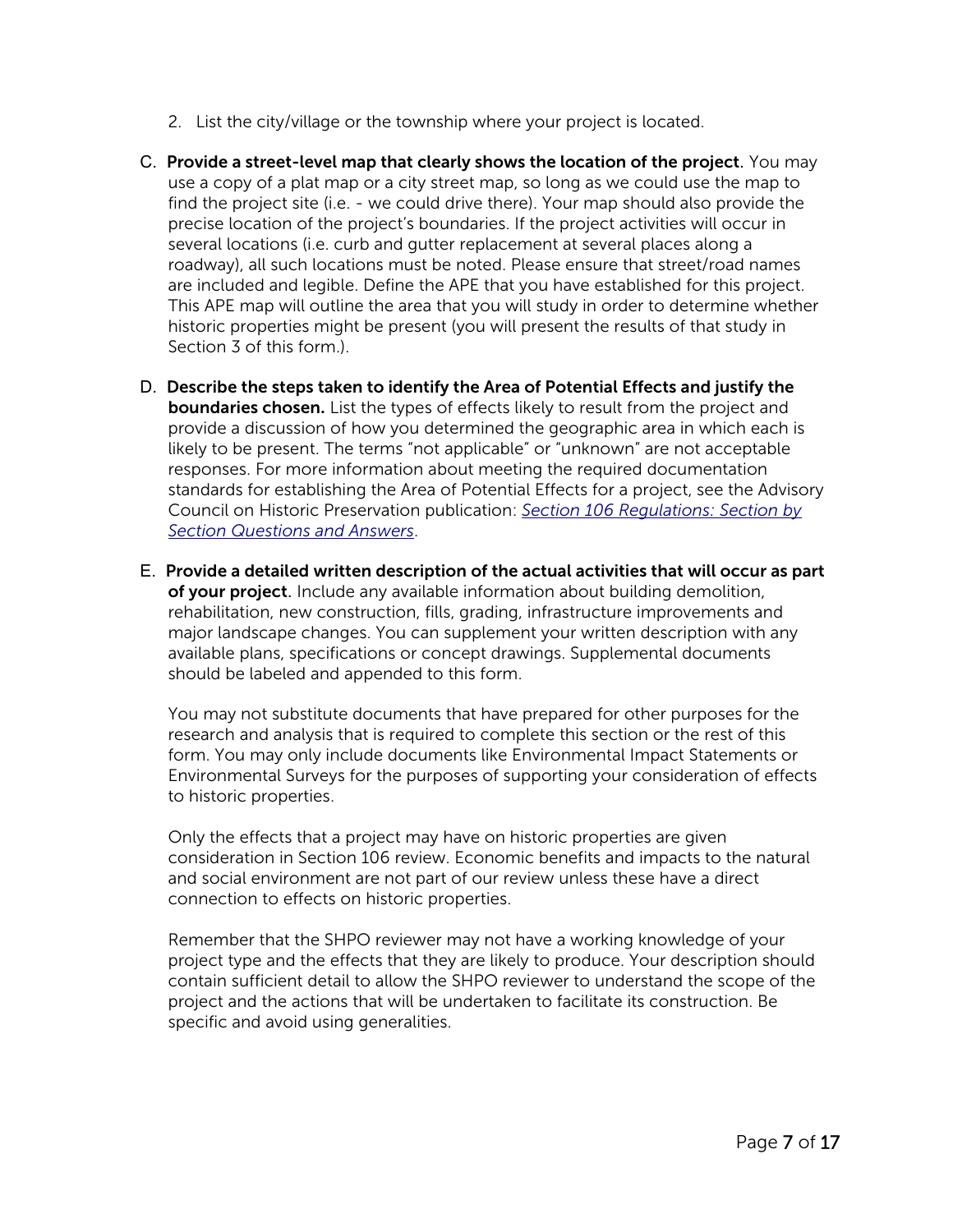- 2. List the city/village or the township where your project is located.
- C. Provide a street-level map that clearly shows the location of the project. You may use a copy of a plat map or a city street map, so long as we could use the map to find the project site (i.e. - we could drive there). Your map should also provide the precise location of the project's boundaries. If the project activities will occur in several locations (i.e. curb and gutter replacement at several places along a roadway), all such locations must be noted. Please ensure that street/road names are included and legible. Define the APE that you have established for this project. This APE map will outline the area that you will study in order to determine whether historic properties might be present (you will present the results of that study in Section 3 of this form.).
- D. Describe the steps taken to identify the Area of Potential Effects and justify the boundaries chosen**.** List the types of effects likely to result from the project and provide a discussion of how you determined the geographic area in which each is likely to be present. The terms "not applicable" or "unknown" are not acceptable responses. For more information about meeting the required documentation standards for establishing the Area of Potential Effects for a project, see the Advisory Council on Historic Preservation publication: *[Section 106 Regulations: Section by](https://www.achp.gov/digital-library-section-106-landing/section-106-regulations-section-section-questions-and-answers)  [Section Questions and Answers](https://www.achp.gov/digital-library-section-106-landing/section-106-regulations-section-section-questions-and-answers)*.
- E. Provide a detailed written description of the actual activities that will occur as part of your project. Include any available information about building demolition, rehabilitation, new construction, fills, grading, infrastructure improvements and major landscape changes. You can supplement your written description with any available plans, specifications or concept drawings. Supplemental documents should be labeled and appended to this form.

You may not substitute documents that have prepared for other purposes for the research and analysis that is required to complete this section or the rest of this form. You may only include documents like Environmental Impact Statements or Environmental Surveys for the purposes of supporting your consideration of effects to historic properties.

Only the effects that a project may have on historic properties are given consideration in Section 106 review. Economic benefits and impacts to the natural and social environment are not part of our review unless these have a direct connection to effects on historic properties.

Remember that the SHPO reviewer may not have a working knowledge of your project type and the effects that they are likely to produce. Your description should contain sufficient detail to allow the SHPO reviewer to understand the scope of the project and the actions that will be undertaken to facilitate its construction. Be specific and avoid using generalities.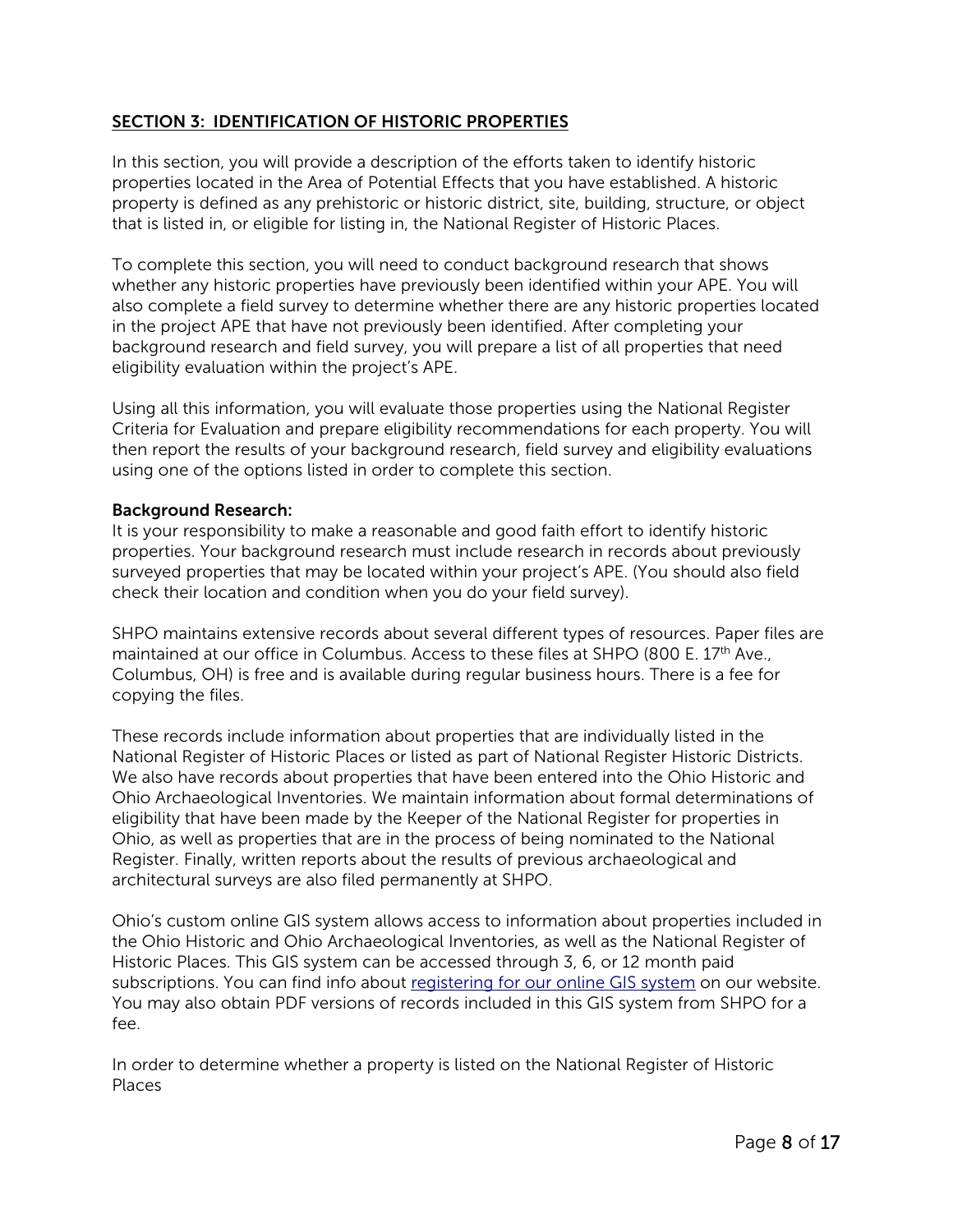## SECTION 3: IDENTIFICATION OF HISTORIC PROPERTIES

In this section, you will provide a description of the efforts taken to identify historic properties located in the Area of Potential Effects that you have established. A historic property is defined as any prehistoric or historic district, site, building, structure, or object that is listed in, or eligible for listing in, the National Register of Historic Places.

To complete this section, you will need to conduct background research that shows whether any historic properties have previously been identified within your APE. You will also complete a field survey to determine whether there are any historic properties located in the project APE that have not previously been identified. After completing your background research and field survey, you will prepare a list of all properties that need eligibility evaluation within the project's APE.

Using all this information, you will evaluate those properties using the National Register Criteria for Evaluation and prepare eligibility recommendations for each property. You will then report the results of your background research, field survey and eligibility evaluations using one of the options listed in order to complete this section.

#### Background Research:

It is your responsibility to make a reasonable and good faith effort to identify historic properties. Your background research must include research in records about previously surveyed properties that may be located within your project's APE. (You should also field check their location and condition when you do your field survey).

SHPO maintains extensive records about several different types of resources. Paper files are maintained at our office in Columbus. Access to these files at SHPO (800 E.  $17<sup>th</sup>$  Ave., Columbus, OH) is free and is available during regular business hours. There is a fee for copying the files.

These records include information about properties that are individually listed in the National Register of Historic Places or listed as part of National Register Historic Districts. We also have records about properties that have been entered into the Ohio Historic and Ohio Archaeological Inventories. We maintain information about formal determinations of eligibility that have been made by the Keeper of the National Register for properties in Ohio, as well as properties that are in the process of being nominated to the National Register. Finally, written reports about the results of previous archaeological and architectural surveys are also filed permanently at SHPO.

Ohio's custom online GIS system allows access to information about properties included in the Ohio Historic and Ohio Archaeological Inventories, as well as the National Register of Historic Places. This GIS system can be accessed through 3, 6, or 12 month paid subscriptions. You can find info about [registering for our online GIS system](https://www.ohiohistory.org/preserving-ohio/state-historic-preservation-office/online-mapping-system/) on our website. You may also obtain PDF versions of records included in this GIS system from SHPO for a fee.

In order to determine whether a property is listed on the National Register of Historic Places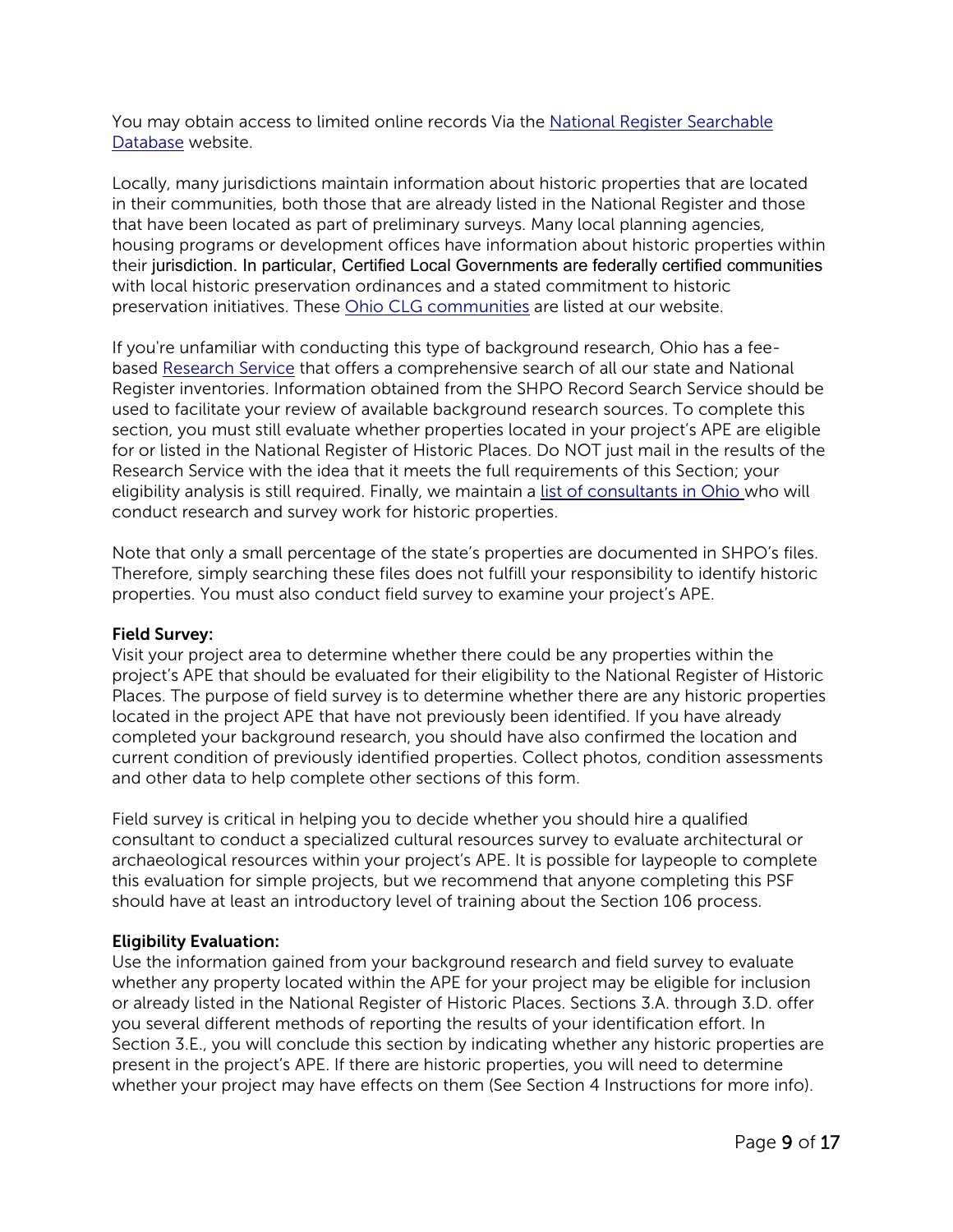You may obtain access to limited online records Via the [National Register Searchable](https://www.ohiohistory.org/preserving-ohio/national-register-of-historic-places/national-register-searchable-database/)  [Database](https://www.ohiohistory.org/preserving-ohio/national-register-of-historic-places/national-register-searchable-database/) website.

Locally, many jurisdictions maintain information about historic properties that are located in their communities, both those that are already listed in the National Register and those that have been located as part of preliminary surveys. Many local planning agencies, housing programs or development offices have information about historic properties within their jurisdiction. In particular, Certified Local Governments are federally certified communities with local historic preservation ordinances and a stated commitment to historic preservation initiatives. These [Ohio CLG communities](https://www.ohiohistory.org/preserving-ohio/certified-local-governments/) are listed at our website.

If you're unfamiliar with conducting this type of background research, Ohio has a feebased [Research Service](https://www.ohiohistory.org/preserving-ohio/state-historic-preservation-office/services-fees/) that offers a comprehensive search of all our state and National Register inventories. Information obtained from the SHPO Record Search Service should be used to facilitate your review of available background research sources. To complete this section, you must still evaluate whether properties located in your project's APE are eligible for or listed in the National Register of Historic Places. Do NOT just mail in the results of the Research Service with the idea that it meets the full requirements of this Section; your eligibility analysis is still required. Finally, we maintain a [list of consultants in Ohio w](https://www.ohiohistory.org/preserving-ohio/state-historic-preservation-office/services-fees/)ho will conduct research and survey work for historic properties.

Note that only a small percentage of the state's properties are documented in SHPO's files. Therefore, simply searching these files does not fulfill your responsibility to identify historic properties. You must also conduct field survey to examine your project's APE.

#### Field Survey:

Visit your project area to determine whether there could be any properties within the project's APE that should be evaluated for their eligibility to the National Register of Historic Places. The purpose of field survey is to determine whether there are any historic properties located in the project APE that have not previously been identified. If you have already completed your background research, you should have also confirmed the location and current condition of previously identified properties. Collect photos, condition assessments and other data to help complete other sections of this form.

Field survey is critical in helping you to decide whether you should hire a qualified consultant to conduct a specialized cultural resources survey to evaluate architectural or archaeological resources within your project's APE. It is possible for laypeople to complete this evaluation for simple projects, but we recommend that anyone completing this PSF should have at least an introductory level of training about the Section 106 process.

#### Eligibility Evaluation:

Use the information gained from your background research and field survey to evaluate whether any property located within the APE for your project may be eligible for inclusion or already listed in the National Register of Historic Places. Sections 3.A. through 3.D. offer you several different methods of reporting the results of your identification effort. In Section 3.E., you will conclude this section by indicating whether any historic properties are present in the project's APE. If there are historic properties, you will need to determine whether your project may have effects on them (See Section 4 Instructions for more info).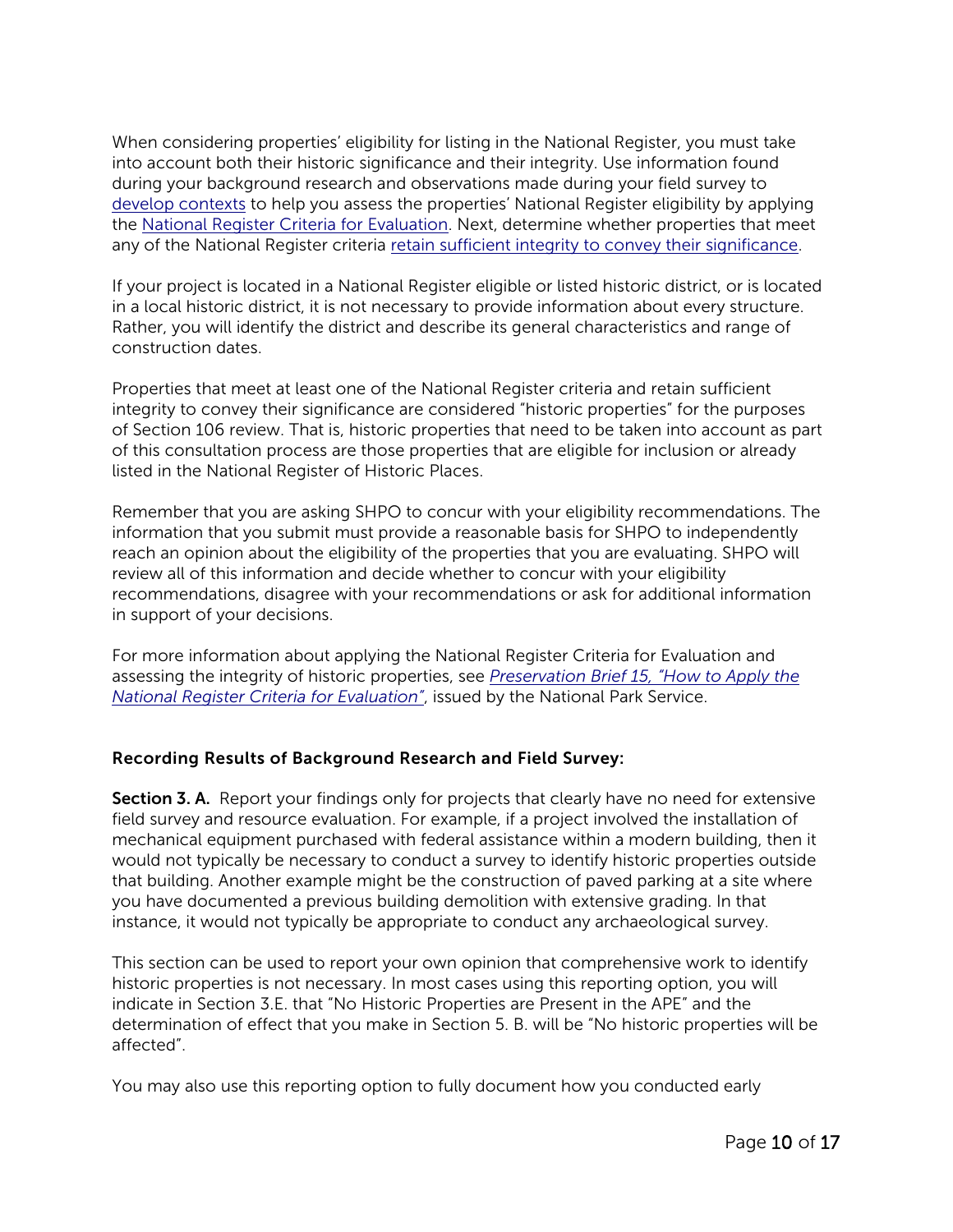When considering properties' eligibility for listing in the National Register, you must take into account both their historic significance and their integrity. Use information found during your background research and observations made during your field survey to [develop contexts](https://www.nps.gov/subjects/nationalregister/upload/NRB-15_web508.pdf) to help you assess the properties' National Register eligibility by applying the [National Register Criteria for Evaluation.](https://www.nps.gov/subjects/nationalregister/upload/NRB-15_web508.pdf) Next, determine whether properties that meet any of the National Register criteria [retain sufficient integrity to convey their significance.](https://www.nps.gov/subjects/nationalregister/upload/NRB-15_web508.pdf)

If your project is located in a National Register eligible or listed historic district, or is located in a local historic district, it is not necessary to provide information about every structure. Rather, you will identify the district and describe its general characteristics and range of construction dates.

Properties that meet at least one of the National Register criteria and retain sufficient integrity to convey their significance are considered "historic properties" for the purposes of Section 106 review. That is, historic properties that need to be taken into account as part of this consultation process are those properties that are eligible for inclusion or already listed in the National Register of Historic Places.

Remember that you are asking SHPO to concur with your eligibility recommendations. The information that you submit must provide a reasonable basis for SHPO to independently reach an opinion about the eligibility of the properties that you are evaluating. SHPO will review all of this information and decide whether to concur with your eligibility recommendations, disagree with your recommendations or ask for additional information in support of your decisions.

For more information about applying the National Register Criteria for Evaluation and assessing the integrity of historic properties, see *[Preservation Brief 15, "How to Apply the](https://www.nps.gov/subjects/nationalregister/upload/NRB-15_web508.pdf)  [National Register Criteria for Evaluation"](https://www.nps.gov/subjects/nationalregister/upload/NRB-15_web508.pdf)*, issued by the National Park Service.

## Recording Results of Background Research and Field Survey:

Section 3. A. Report your findings only for projects that clearly have no need for extensive field survey and resource evaluation. For example, if a project involved the installation of mechanical equipment purchased with federal assistance within a modern building, then it would not typically be necessary to conduct a survey to identify historic properties outside that building. Another example might be the construction of paved parking at a site where you have documented a previous building demolition with extensive grading. In that instance, it would not typically be appropriate to conduct any archaeological survey.

This section can be used to report your own opinion that comprehensive work to identify historic properties is not necessary. In most cases using this reporting option, you will indicate in Section 3.E. that "No Historic Properties are Present in the APE" and the determination of effect that you make in Section 5. B. will be "No historic properties will be affected".

You may also use this reporting option to fully document how you conducted early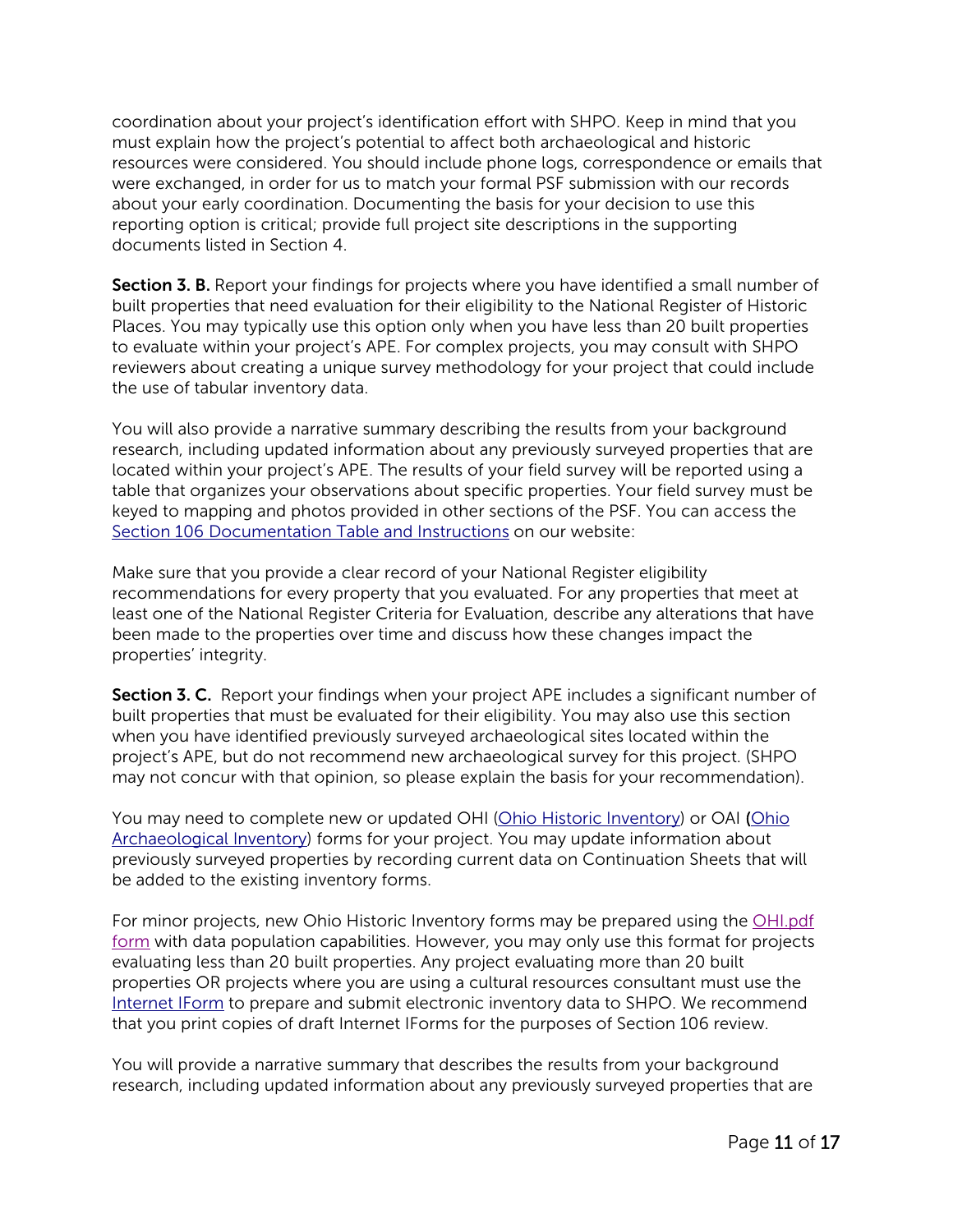coordination about your project's identification effort with SHPO. Keep in mind that you must explain how the project's potential to affect both archaeological and historic resources were considered. You should include phone logs, correspondence or emails that were exchanged, in order for us to match your formal PSF submission with our records about your early coordination. Documenting the basis for your decision to use this reporting option is critical; provide full project site descriptions in the supporting documents listed in Section 4.

Section 3. B. Report your findings for projects where you have identified a small number of built properties that need evaluation for their eligibility to the National Register of Historic Places. You may typically use this option only when you have less than 20 built properties to evaluate within your project's APE. For complex projects, you may consult with SHPO reviewers about creating a unique survey methodology for your project that could include the use of tabular inventory data.

You will also provide a narrative summary describing the results from your background research, including updated information about any previously surveyed properties that are located within your project's APE. The results of your field survey will be reported using a table that organizes your observations about specific properties. Your field survey must be keyed to mapping and photos provided in other sections of the PSF. You can access the [Section 106 Documentation Table and](https://www.ohiohistory.org/wp-content/uploads/2022/01/s106DocTable.zip) Instructions on our website:

Make sure that you provide a clear record of your National Register eligibility recommendations for every property that you evaluated. For any properties that meet at least one of the National Register Criteria for Evaluation, describe any alterations that have been made to the properties over time and discuss how these changes impact the properties' integrity.

Section 3. C. Report your findings when your project APE includes a significant number of built properties that must be evaluated for their eligibility. You may also use this section when you have identified previously surveyed archaeological sites located within the project's APE, but do not recommend new archaeological survey for this project. (SHPO may not concur with that opinion, so please explain the basis for your recommendation).

You may need to complete new or updated OHI [\(Ohio Historic Inventory\)](https://www.ohiohistory.org/preserving-ohio/survey-inventory/ohio-historic-inventory/) or OAI [\(Ohio](https://www.ohiohistory.org/preserving-ohio/survey-inventory/archaeology-survey/)  [Archaeological Inventory\)](https://www.ohiohistory.org/preserving-ohio/survey-inventory/archaeology-survey/) forms for your project. You may update information about previously surveyed properties by recording current data on Continuation Sheets that will be added to the existing inventory forms.

For minor projects, new Ohio Historic Inventory forms may be prepared using the OHI.pdf [form](https://www.ohiohistory.org/wp-content/uploads/2022/06/Ohio-Historic-Inventory-OHI_Form_fillable.pdf) with data population capabilities. However, you may only use this format for projects evaluating less than 20 built properties. Any project evaluating more than 20 built properties OR projects where you are using a cultural resources consultant must use the [Internet IForm](https://www.ohiohistory.org/preserving-ohio/survey-inventory/i-form/) to prepare and submit electronic inventory data to SHPO. We recommend that you print copies of draft Internet IForms for the purposes of Section 106 review.

You will provide a narrative summary that describes the results from your background research, including updated information about any previously surveyed properties that are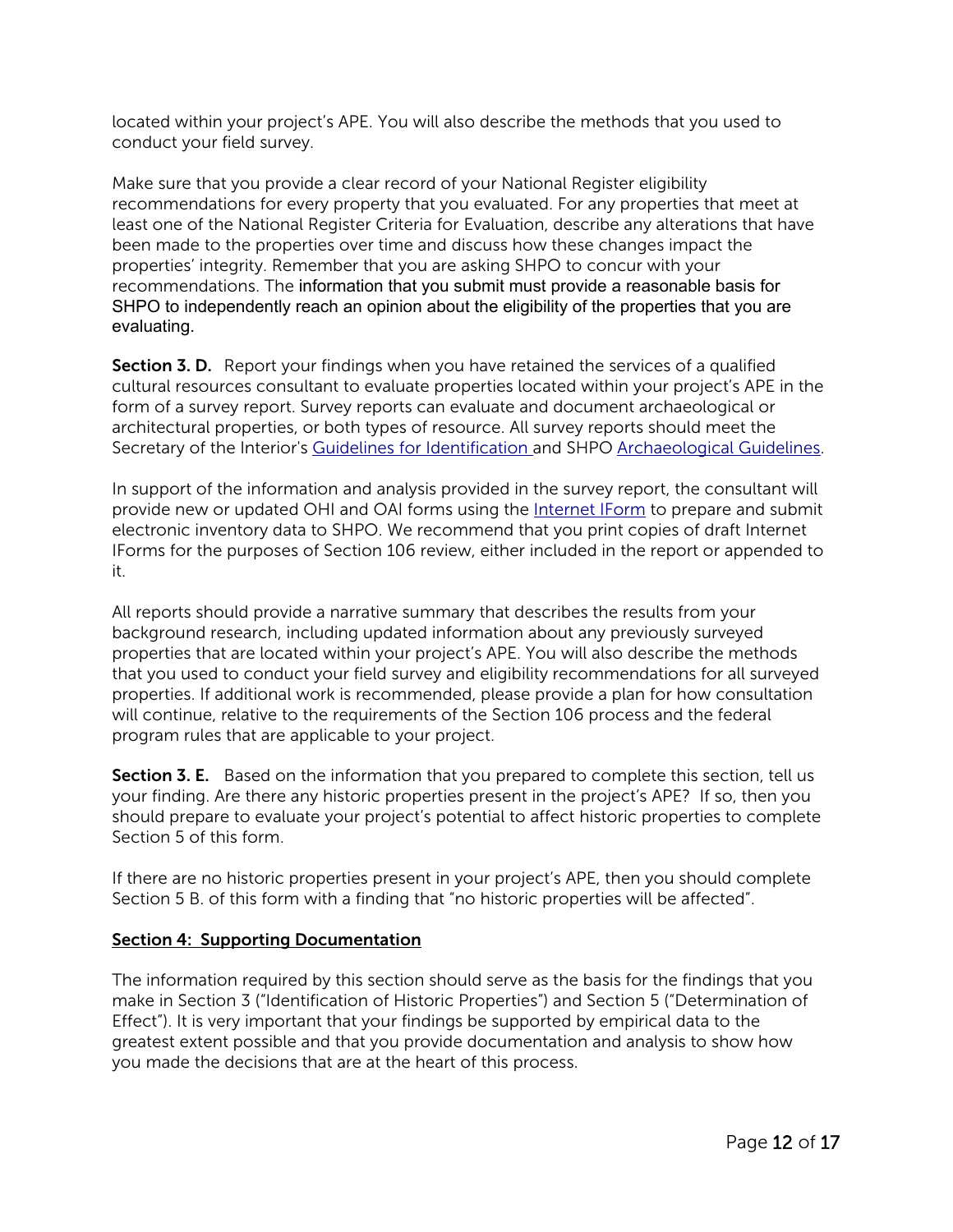located within your project's APE. You will also describe the methods that you used to conduct your field survey.

Make sure that you provide a clear record of your National Register eligibility recommendations for every property that you evaluated. For any properties that meet at least one of the National Register Criteria for Evaluation, describe any alterations that have been made to the properties over time and discuss how these changes impact the properties' integrity. Remember that you are asking SHPO to concur with your recommendations. The information that you submit must provide a reasonable basis for SHPO to independently reach an opinion about the eligibility of the properties that you are evaluating.

**Section 3. D.** Report your findings when you have retained the services of a qualified cultural resources consultant to evaluate properties located within your project's APE in the form of a survey report. Survey reports can evaluate and document archaeological or architectural properties, or both types of resource. All survey reports should meet the Secretary of the Interior's [Guidelines for Identification](https://www.nps.gov/articles/sec_stds_id_standards.htm) and SHPO [Archaeological Guidelines.](https://www.ohiohistory.org/wp-content/uploads/2022/01/OAI_ArchaeologyGuidelines-1.pdf) 

In support of the information and analysis provided in the survey report, the consultant will provide new or updated OHI and OAI forms using the [Internet IForm](https://www.ohiohistory.org/preserving-ohio/survey-inventory/i-form/) to prepare and submit electronic inventory data to SHPO. We recommend that you print copies of draft Internet IForms for the purposes of Section 106 review, either included in the report or appended to it.

All reports should provide a narrative summary that describes the results from your background research, including updated information about any previously surveyed properties that are located within your project's APE. You will also describe the methods that you used to conduct your field survey and eligibility recommendations for all surveyed properties. If additional work is recommended, please provide a plan for how consultation will continue, relative to the requirements of the Section 106 process and the federal program rules that are applicable to your project.

**Section 3. E.** Based on the information that you prepared to complete this section, tell us your finding. Are there any historic properties present in the project's APE? If so, then you should prepare to evaluate your project's potential to affect historic properties to complete Section 5 of this form.

If there are no historic properties present in your project's APE, then you should complete Section 5 B. of this form with a finding that "no historic properties will be affected".

#### Section 4: Supporting Documentation

The information required by this section should serve as the basis for the findings that you make in Section 3 ("Identification of Historic Properties") and Section 5 ("Determination of Effect"). It is very important that your findings be supported by empirical data to the greatest extent possible and that you provide documentation and analysis to show how you made the decisions that are at the heart of this process.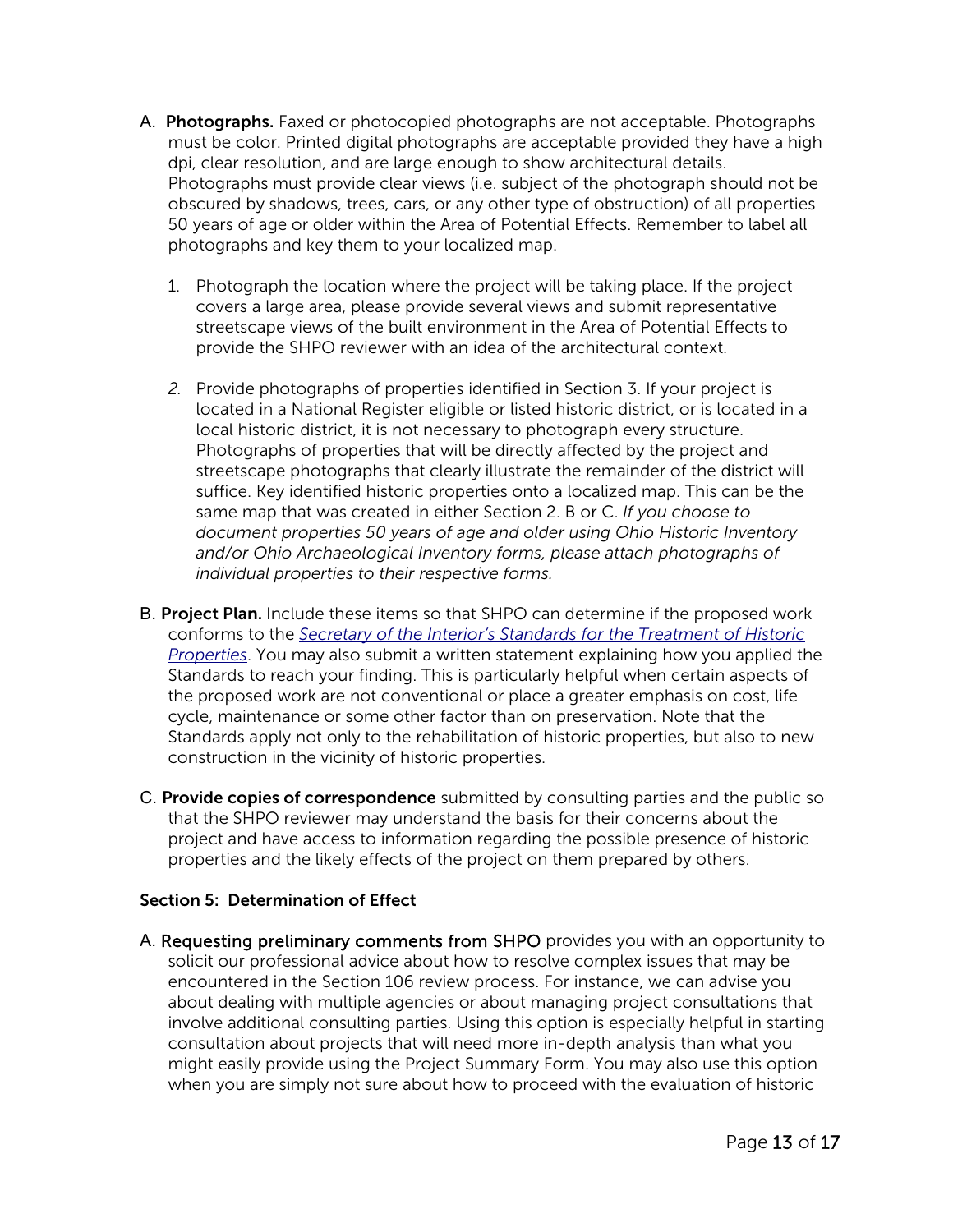- A. Photographs. Faxed or photocopied photographs are not acceptable. Photographs must be color. Printed digital photographs are acceptable provided they have a high dpi, clear resolution, and are large enough to show architectural details. Photographs must provide clear views (i.e. subject of the photograph should not be obscured by shadows, trees, cars, or any other type of obstruction) of all properties 50 years of age or older within the Area of Potential Effects. Remember to label all photographs and key them to your localized map.
	- 1. Photograph the location where the project will be taking place. If the project covers a large area, please provide several views and submit representative streetscape views of the built environment in the Area of Potential Effects to provide the SHPO reviewer with an idea of the architectural context.
	- *2.* Provide photographs of properties identified in Section 3. If your project is located in a National Register eligible or listed historic district, or is located in a local historic district, it is not necessary to photograph every structure. Photographs of properties that will be directly affected by the project and streetscape photographs that clearly illustrate the remainder of the district will suffice. Key identified historic properties onto a localized map. This can be the same map that was created in either Section 2. B or C. *If you choose to document properties 50 years of age and older using Ohio Historic Inventory and/or Ohio Archaeological Inventory forms, please attach photographs of individual properties to their respective forms.*
- B. Project Plan. Include these items so that SHPO can determine if the proposed work conforms to the *[Secretary of the Interior's Standards for the Treatment of Historic](https://www.nps.gov/tps/standards.htm)  [Properties](https://www.nps.gov/tps/standards.htm)*. You may also submit a written statement explaining how you applied the Standards to reach your finding. This is particularly helpful when certain aspects of the proposed work are not conventional or place a greater emphasis on cost, life cycle, maintenance or some other factor than on preservation. Note that the Standards apply not only to the rehabilitation of historic properties, but also to new construction in the vicinity of historic properties.
- C. Provide copies of correspondence submitted by consulting parties and the public so that the SHPO reviewer may understand the basis for their concerns about the project and have access to information regarding the possible presence of historic properties and the likely effects of the project on them prepared by others.

#### Section 5: Determination of Effect

A. Requesting preliminary comments from SHPO provides you with an opportunity to solicit our professional advice about how to resolve complex issues that may be encountered in the Section 106 review process. For instance, we can advise you about dealing with multiple agencies or about managing project consultations that involve additional consulting parties. Using this option is especially helpful in starting consultation about projects that will need more in-depth analysis than what you might easily provide using the Project Summary Form. You may also use this option when you are simply not sure about how to proceed with the evaluation of historic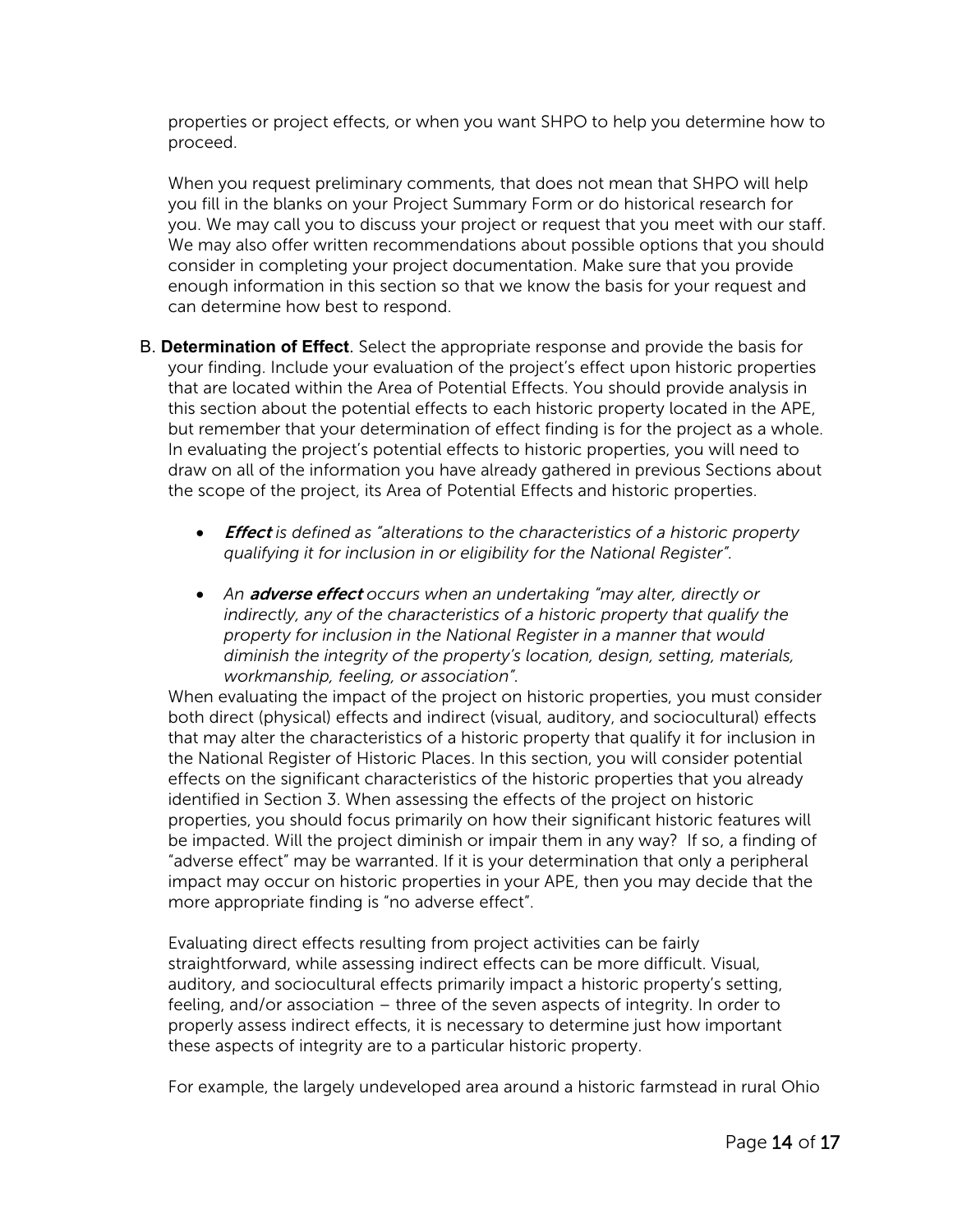properties or project effects, or when you want SHPO to help you determine how to proceed.

When you request preliminary comments, that does not mean that SHPO will help you fill in the blanks on your Project Summary Form or do historical research for you. We may call you to discuss your project or request that you meet with our staff. We may also offer written recommendations about possible options that you should consider in completing your project documentation. Make sure that you provide enough information in this section so that we know the basis for your request and can determine how best to respond.

- B. **Determination of Effect**. Select the appropriate response and provide the basis for your finding. Include your evaluation of the project's effect upon historic properties that are located within the Area of Potential Effects. You should provide analysis in this section about the potential effects to each historic property located in the APE, but remember that your determination of effect finding is for the project as a whole. In evaluating the project's potential effects to historic properties, you will need to draw on all of the information you have already gathered in previous Sections about the scope of the project, its Area of Potential Effects and historic properties.
	- Effect *is defined as "alterations to the characteristics of a historic property qualifying it for inclusion in or eligibility for the National Register".*
	- *An* adverse effect *occurs when an undertaking "may alter, directly or indirectly, any of the characteristics of a historic property that qualify the property for inclusion in the National Register in a manner that would diminish the integrity of the property's location, design, setting, materials, workmanship, feeling, or association".*

When evaluating the impact of the project on historic properties, you must consider both direct (physical) effects and indirect (visual, auditory, and sociocultural) effects that may alter the characteristics of a historic property that qualify it for inclusion in the National Register of Historic Places. In this section, you will consider potential effects on the significant characteristics of the historic properties that you already identified in Section 3. When assessing the effects of the project on historic properties, you should focus primarily on how their significant historic features will be impacted. Will the project diminish or impair them in any way? If so, a finding of "adverse effect" may be warranted. If it is your determination that only a peripheral impact may occur on historic properties in your APE, then you may decide that the more appropriate finding is "no adverse effect".

Evaluating direct effects resulting from project activities can be fairly straightforward, while assessing indirect effects can be more difficult. Visual, auditory, and sociocultural effects primarily impact a historic property's setting, feeling, and/or association – three of the seven aspects of integrity. In order to properly assess indirect effects, it is necessary to determine just how important these aspects of integrity are to a particular historic property.

For example, the largely undeveloped area around a historic farmstead in rural Ohio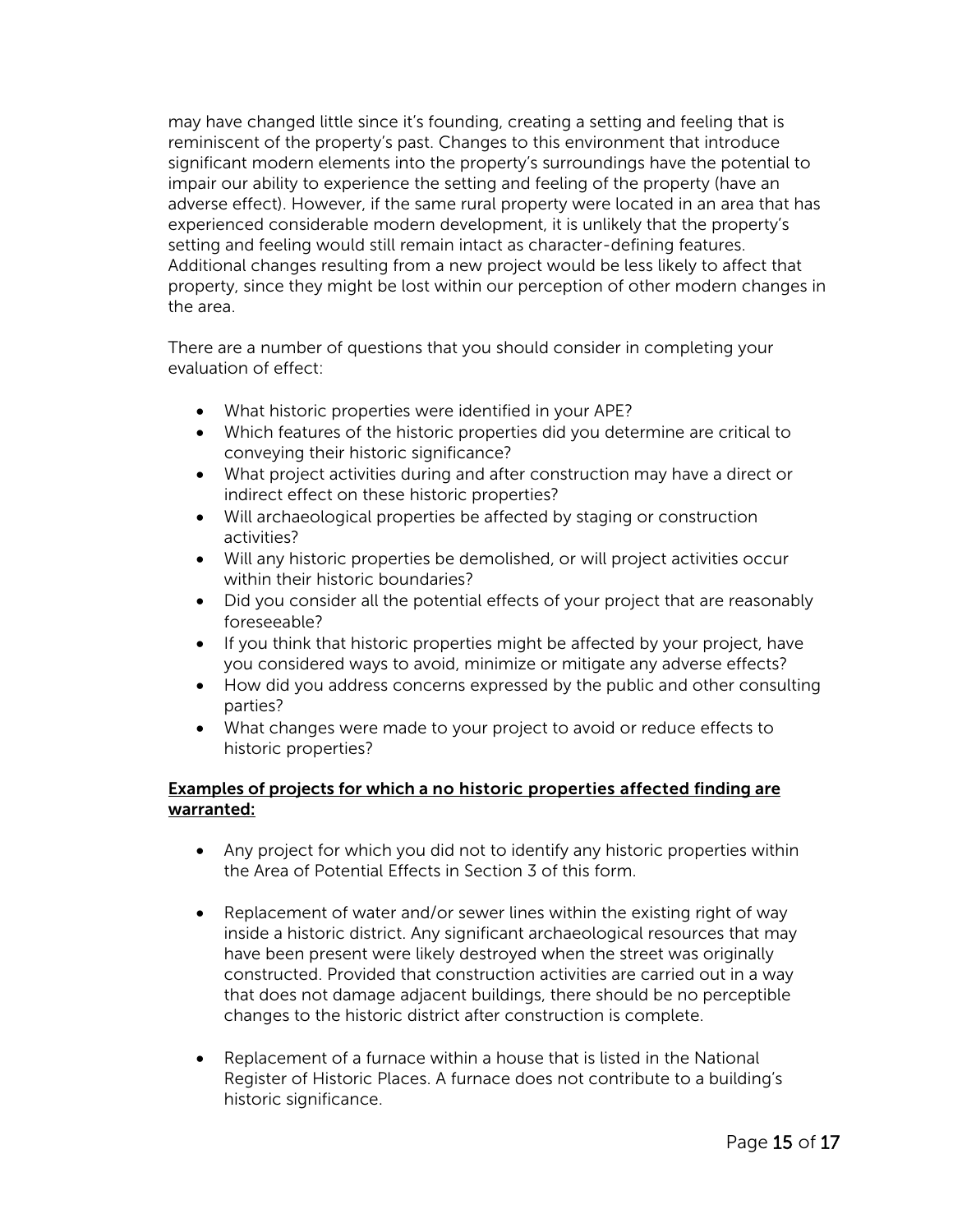may have changed little since it's founding, creating a setting and feeling that is reminiscent of the property's past. Changes to this environment that introduce significant modern elements into the property's surroundings have the potential to impair our ability to experience the setting and feeling of the property (have an adverse effect). However, if the same rural property were located in an area that has experienced considerable modern development, it is unlikely that the property's setting and feeling would still remain intact as character-defining features. Additional changes resulting from a new project would be less likely to affect that property, since they might be lost within our perception of other modern changes in the area.

There are a number of questions that you should consider in completing your evaluation of effect:

- What historic properties were identified in your APE?
- Which features of the historic properties did you determine are critical to conveying their historic significance?
- What project activities during and after construction may have a direct or indirect effect on these historic properties?
- Will archaeological properties be affected by staging or construction activities?
- Will any historic properties be demolished, or will project activities occur within their historic boundaries?
- Did you consider all the potential effects of your project that are reasonably foreseeable?
- If you think that historic properties might be affected by your project, have you considered ways to avoid, minimize or mitigate any adverse effects?
- How did you address concerns expressed by the public and other consulting parties?
- What changes were made to your project to avoid or reduce effects to historic properties?

## Examples of projects for which a no historic properties affected finding are warranted:

- Any project for which you did not to identify any historic properties within the Area of Potential Effects in Section 3 of this form.
- Replacement of water and/or sewer lines within the existing right of way inside a historic district. Any significant archaeological resources that may have been present were likely destroyed when the street was originally constructed. Provided that construction activities are carried out in a way that does not damage adjacent buildings, there should be no perceptible changes to the historic district after construction is complete.
- Replacement of a furnace within a house that is listed in the National Register of Historic Places. A furnace does not contribute to a building's historic significance.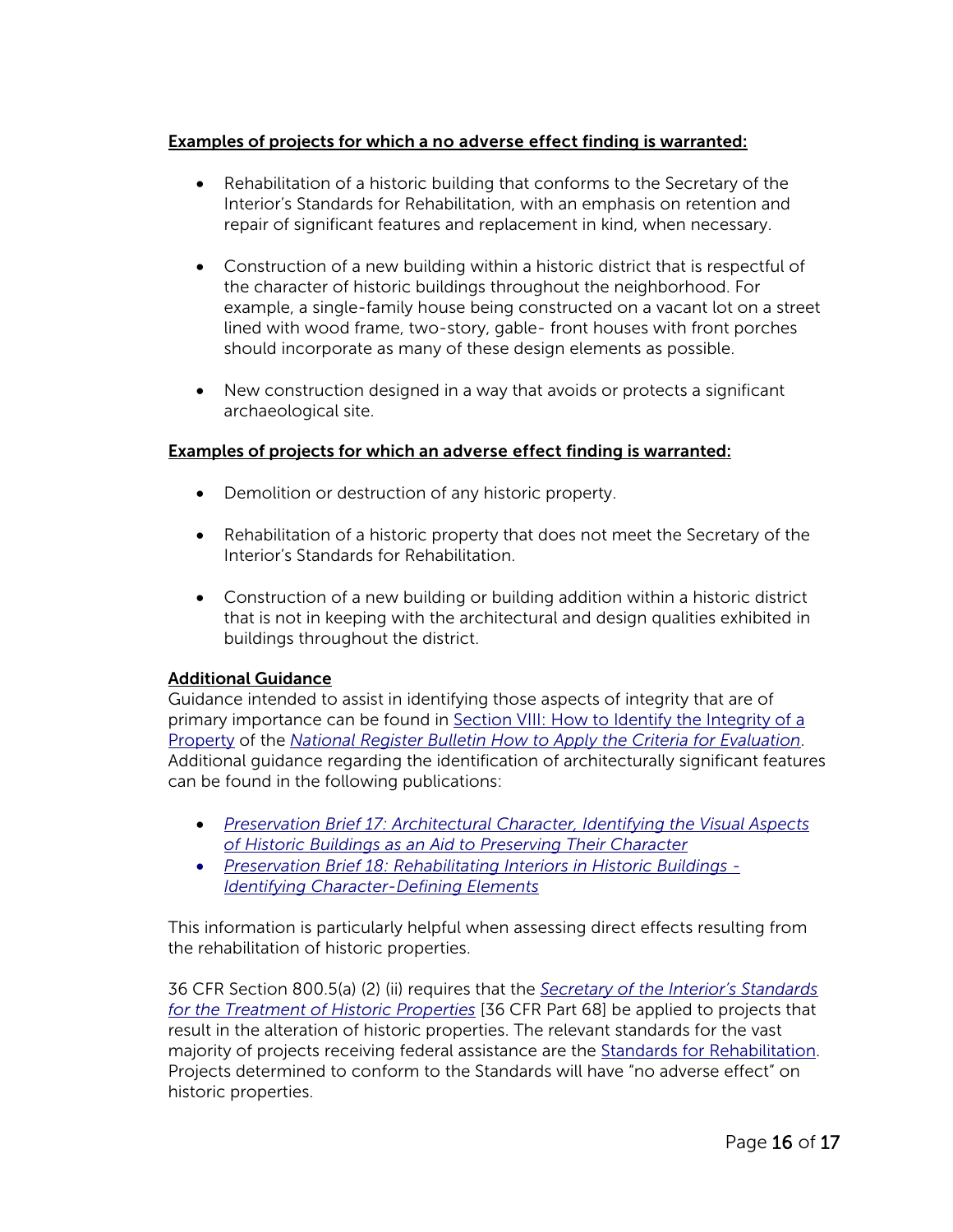## Examples of projects for which a no adverse effect finding is warranted:

- Rehabilitation of a historic building that conforms to the Secretary of the Interior's Standards for Rehabilitation, with an emphasis on retention and repair of significant features and replacement in kind, when necessary.
- Construction of a new building within a historic district that is respectful of the character of historic buildings throughout the neighborhood. For example, a single-family house being constructed on a vacant lot on a street lined with wood frame, two-story, gable- front houses with front porches should incorporate as many of these design elements as possible.
- New construction designed in a way that avoids or protects a significant archaeological site.

## Examples of projects for which an adverse effect finding is warranted:

- Demolition or destruction of any historic property.
- Rehabilitation of a historic property that does not meet the Secretary of the Interior's Standards for Rehabilitation.
- Construction of a new building or building addition within a historic district that is not in keeping with the architectural and design qualities exhibited in buildings throughout the district.

## Additional Guidance

Guidance intended to assist in identifying those aspects of integrity that are of primary importance can be found in [Section VIII: How to Identify the Integrity of a](https://www.nps.gov/subjects/nationalregister/upload/NRB-15_web508.pdf)  [Property](https://www.nps.gov/subjects/nationalregister/upload/NRB-15_web508.pdf) of the *[National Register Bulletin How to Apply the Criteria for Evaluation](https://www.nps.gov/subjects/nationalregister/upload/NRB-15_web508.pdf)*. Additional guidance regarding the identification of architecturally significant features can be found in the following publications:

- *[Preservation Brief 17: Architectural Character, Identifying the Visual Aspects](https://www.nps.gov/tps/how-to-preserve/briefs/17-architectural-character.htm)  [of Historic Buildings as an Aid to Preserving Their Character](https://www.nps.gov/tps/how-to-preserve/briefs/17-architectural-character.htm)*
- *[Preservation Brief 18: Rehabilitating Interiors in Historic Buildings](https://www.nps.gov/tps/how-to-preserve/briefs/18-rehabilitating-interiors.htm)  [Identifying Character-Defining Elements](https://www.nps.gov/tps/how-to-preserve/briefs/18-rehabilitating-interiors.htm)*

This information is particularly helpful when assessing direct effects resulting from the rehabilitation of historic properties.

36 CFR Section 800.5(a) (2) (ii) requires that the *[Secretary of the Interior's Standards](https://www.nps.gov/tps/standards.htm)  [for the Treatment of Historic Properties](https://www.nps.gov/tps/standards.htm)* [36 CFR Part 68] be applied to projects that result in the alteration of historic properties. The relevant standards for the vast majority of projects receiving federal assistance are the [Standards for Rehabilitation.](https://www.nps.gov/tps/standards/rehabilitation.htm) Projects determined to conform to the Standards will have "no adverse effect" on historic properties.